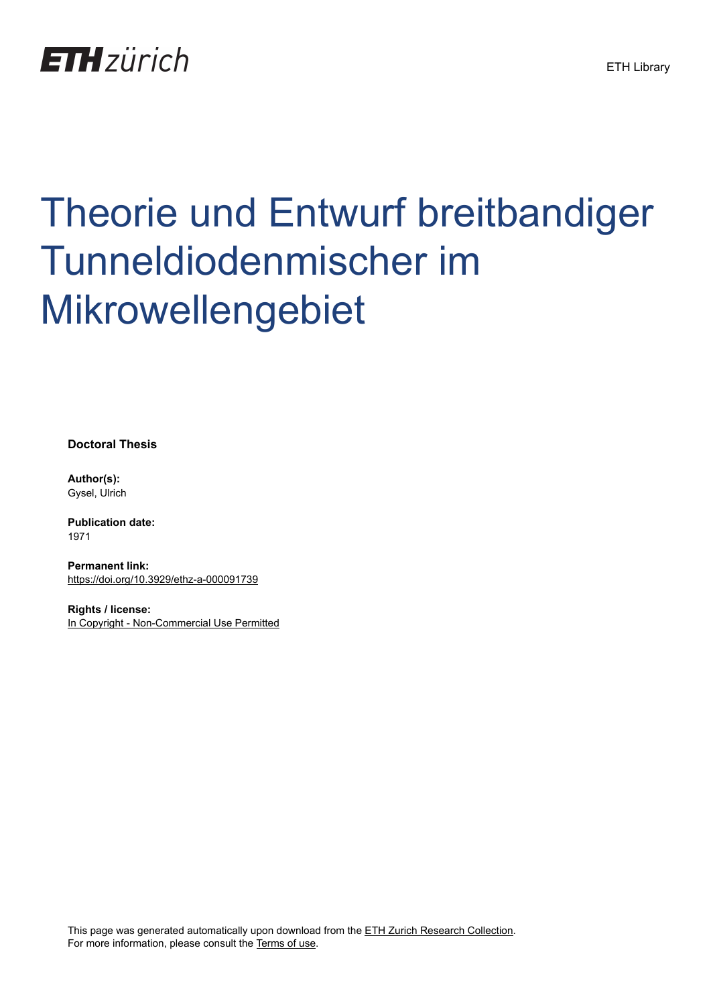

# Theorie und Entwurf breitbandiger Tunneldiodenmischer im Mikrowellengebiet

**Doctoral Thesis**

**Author(s):** Gysel, Ulrich

**Publication date:** 1971

**Permanent link:** <https://doi.org/10.3929/ethz-a-000091739>

**Rights / license:** [In Copyright - Non-Commercial Use Permitted](http://rightsstatements.org/page/InC-NC/1.0/)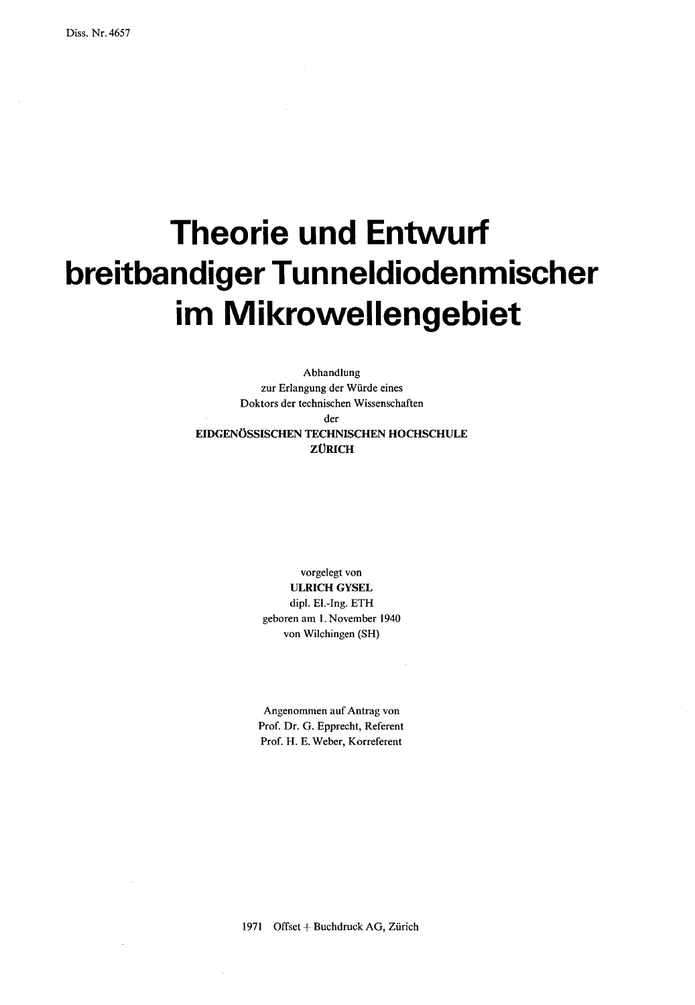## Theorie und Entwurf breitbandiger Tunneldiodenmischer im Mikrowellengebiet

Abhandlung zur Erlangung der Würde eines Doktors der technischen Wissenschaften der EIDGENÖSSISCHEN TECHNISCHEN HOCHSCHULE ZÜRICH

> vorgelegt von ULRICH GYSEL dipl. El.-Ing. ETH geboren am 1. November <sup>1940</sup> von Wilchingen (SH)

Angenommen auf Antrag von Prof. Dr. G. Epprecht, Referent Prof. H. E. Weber, Korreferent

<sup>1971</sup> Offset + Buchdruck AG, Zürich